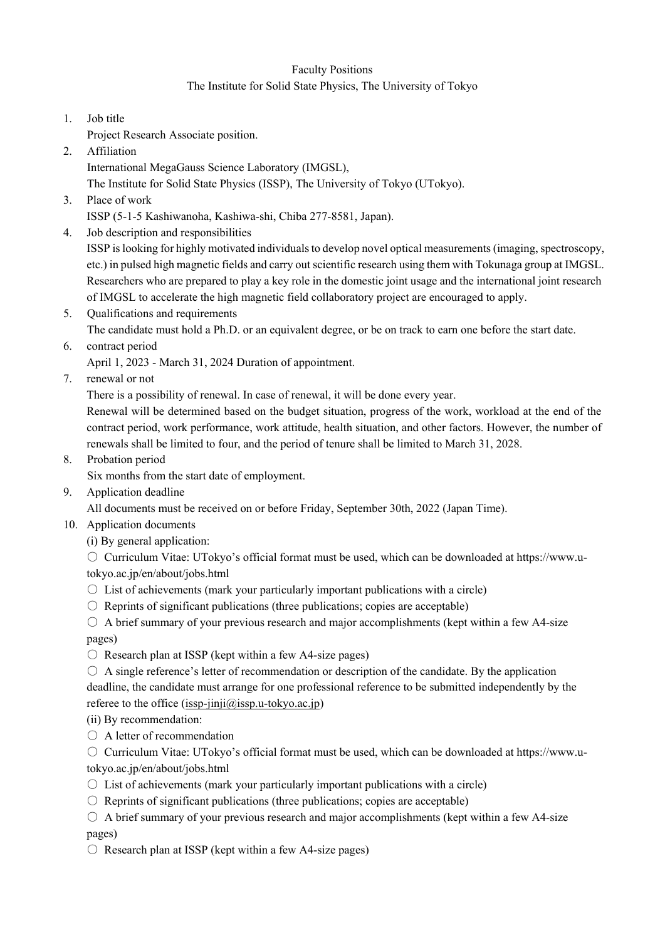## Faculty Positions

## The Institute for Solid State Physics, The University of Tokyo

- 1. Job title
- Project Research Associate position.
- 2. Affiliation

International MegaGauss Science Laboratory (IMGSL),

The Institute for Solid State Physics (ISSP), The University of Tokyo (UTokyo).

3. Place of work

ISSP (5-1-5 Kashiwanoha, Kashiwa-shi, Chiba 277-8581, Japan).

4. Job description and responsibilities

ISSP is looking for highly motivated individuals to develop novel optical measurements (imaging, spectroscopy, etc.) in pulsed high magnetic fields and carry out scientific research using them with Tokunaga group at IMGSL. Researchers who are prepared to play a key role in the domestic joint usage and the international joint research of IMGSL to accelerate the high magnetic field collaboratory project are encouraged to apply.

5. Qualifications and requirements

The candidate must hold a Ph.D. or an equivalent degree, or be on track to earn one before the start date.

6. contract period April 1, 2023 - March 31, 2024 Duration of appointment.

7. renewal or not

There is a possibility of renewal. In case of renewal, it will be done every year.

Renewal will be determined based on the budget situation, progress of the work, workload at the end of the contract period, work performance, work attitude, health situation, and other factors. However, the number of renewals shall be limited to four, and the period of tenure shall be limited to March 31, 2028.

8. Probation period

Six months from the start date of employment.

9. Application deadline

All documents must be received on or before Friday, September 30th, 2022 (Japan Time).

- 10. Application documents
	- (i) By general application:

 $\circ$  Curriculum Vitae: UTokyo's official format must be used, which can be downloaded at https://www.utokyo.ac.jp/en/about/jobs.html

- $\circ$  List of achievements (mark your particularly important publications with a circle)
- $\circ$  Reprints of significant publications (three publications; copies are acceptable)

 $\circ$  A brief summary of your previous research and major accomplishments (kept within a few A4-size pages)

- $\circ$  Research plan at ISSP (kept within a few A4-size pages)
- $\circ$  A single reference's letter of recommendation or description of the candidate. By the application deadline, the candidate must arrange for one professional reference to be submitted independently by the referee to the office  $(issp-jinji@issp.u-tokyo.ac.jp)$

(ii) By recommendation:

○ A letter of recommendation

○ Curriculum Vitae: UTokyo's official format must be used, which can be downloaded at https://www.utokyo.ac.jp/en/about/jobs.html

- $\circ$  List of achievements (mark your particularly important publications with a circle)
- $\circ$  Reprints of significant publications (three publications; copies are acceptable)

 $\circ$  A brief summary of your previous research and major accomplishments (kept within a few A4-size pages)

 $\circ$  Research plan at ISSP (kept within a few A4-size pages)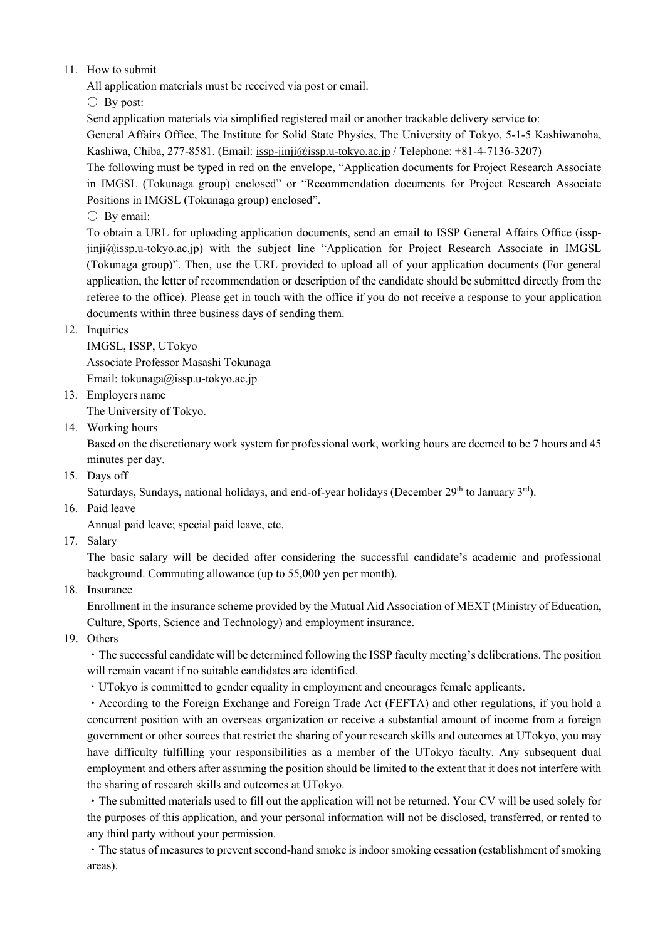## 11. How to submit

All application materials must be received via post or email.

 $\bigcirc$  By post:

Send application materials via simplified registered mail or another trackable delivery service to:

General Affairs Office, The Institute for Solid State Physics, The University of Tokyo, 5-1-5 Kashiwanoha, Kashiwa, Chiba, 277-8581. (Email: issp-jinji@issp.u-tokyo.ac.jp / Telephone: +81-4-7136-3207)

The following must be typed in red on the envelope, "Application documents for Project Research Associate in IMGSL (Tokunaga group) enclosed" or "Recommendation documents for Project Research Associate Positions in IMGSL (Tokunaga group) enclosed".

 $\bigcirc$  By email:

To obtain a URL for uploading application documents, send an email to ISSP General Affairs Office (isspjinji@issp.u-tokyo.ac.jp) with the subject line "Application for Project Research Associate in IMGSL (Tokunaga group)". Then, use the URL provided to upload all of your application documents (For general application, the letter of recommendation or description of the candidate should be submitted directly from the referee to the office). Please get in touch with the office if you do not receive a response to your application documents within three business days of sending them.

## 12. Inquiries

IMGSL, ISSP, UTokyo Associate Professor Masashi Tokunaga Email: tokunaga@issp.u-tokyo.ac.jp

13. Employers name

The University of Tokyo.

14. Working hours

Based on the discretionary work system for professional work, working hours are deemed to be 7 hours and 45 minutes per day.

15. Days off

Saturdays, Sundays, national holidays, and end-of-year holidays (December 29<sup>th</sup> to January 3<sup>rd</sup>).

16. Paid leave

Annual paid leave; special paid leave, etc.

17. Salary

The basic salary will be decided after considering the successful candidate's academic and professional background. Commuting allowance (up to 55,000 yen per month).

18. Insurance

Enrollment in the insurance scheme provided by the Mutual Aid Association of MEXT (Ministry of Education, Culture, Sports, Science and Technology) and employment insurance.

19. Others

・The successful candidate will be determined following the ISSP faculty meeting's deliberations. The position will remain vacant if no suitable candidates are identified.

・UTokyo is committed to gender equality in employment and encourages female applicants.

・According to the Foreign Exchange and Foreign Trade Act (FEFTA) and other regulations, if you hold a concurrent position with an overseas organization or receive a substantial amount of income from a foreign government or other sources that restrict the sharing of your research skills and outcomes at UTokyo, you may have difficulty fulfilling your responsibilities as a member of the UTokyo faculty. Any subsequent dual employment and others after assuming the position should be limited to the extent that it does not interfere with the sharing of research skills and outcomes at UTokyo.

・The submitted materials used to fill out the application will not be returned. Your CV will be used solely for the purposes of this application, and your personal information will not be disclosed, transferred, or rented to any third party without your permission.

・The status of measures to prevent second-hand smoke is indoor smoking cessation (establishment of smoking areas).